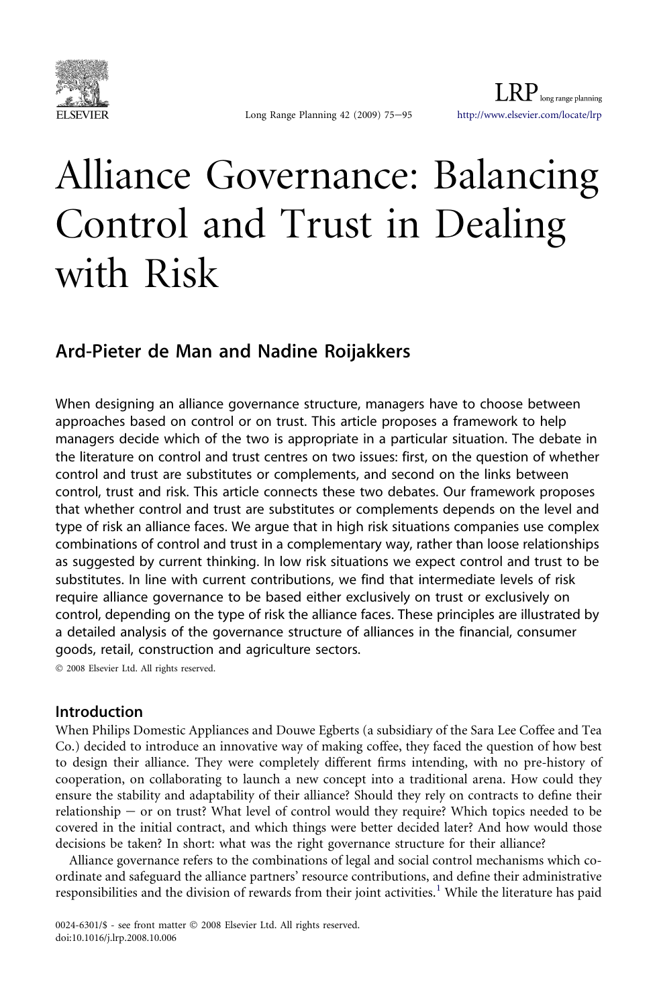

Long Range Planning 42 (2009) 75-95 <http://www.elsevier.com/locate/lrp>

# Alliance Governance: Balancing Control and Trust in Dealing with Risk

# Ard-Pieter de Man and Nadine Roijakkers

When designing an alliance governance structure, managers have to choose between approaches based on control or on trust. This article proposes a framework to help managers decide which of the two is appropriate in a particular situation. The debate in the literature on control and trust centres on two issues: first, on the question of whether control and trust are substitutes or complements, and second on the links between control, trust and risk. This article connects these two debates. Our framework proposes that whether control and trust are substitutes or complements depends on the level and type of risk an alliance faces. We argue that in high risk situations companies use complex combinations of control and trust in a complementary way, rather than loose relationships as suggested by current thinking. In low risk situations we expect control and trust to be substitutes. In line with current contributions, we find that intermediate levels of risk require alliance governance to be based either exclusively on trust or exclusively on control, depending on the type of risk the alliance faces. These principles are illustrated by a detailed analysis of the governance structure of alliances in the financial, consumer goods, retail, construction and agriculture sectors.

- 2008 Elsevier Ltd. All rights reserved.

## Introduction

When Philips Domestic Appliances and Douwe Egberts (a subsidiary of the Sara Lee Coffee and Tea Co.) decided to introduce an innovative way of making coffee, they faced the question of how best to design their alliance. They were completely different firms intending, with no pre-history of cooperation, on collaborating to launch a new concept into a traditional arena. How could they ensure the stability and adaptability of their alliance? Should they rely on contracts to define their relationship  $-$  or on trust? What level of control would they require? Which topics needed to be covered in the initial contract, and which things were better decided later? And how would those decisions be taken? In short: what was the right governance structure for their alliance?

Alliance governance refers to the combinations of legal and social control mechanisms which coordinate and safeguard the alliance partners' resource contributions, and define their administrative responsibilities and the division of rewards from their joint activities.<sup>[1](#page-19-0)</sup> While the literature has paid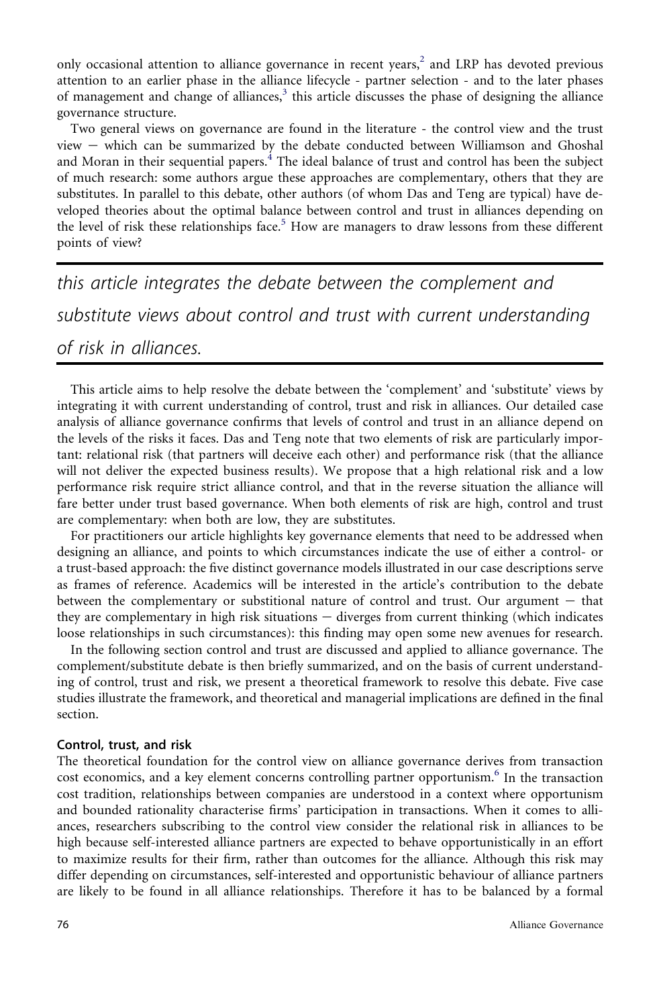only occasional attention to alliance governance in recent years, $<sup>2</sup>$  $<sup>2</sup>$  $<sup>2</sup>$  and LRP has devoted previous</sup> attention to an earlier phase in the alliance lifecycle - partner selection - and to the later phases of management and change of alliances, $3$  this article discusses the phase of designing the alliance governance structure.

Two general views on governance are found in the literature - the control view and the trust  $view -$  which can be summarized by the debate conducted between Williamson and Ghoshal and Moran in their sequential papers.<sup>[4](#page-19-0)</sup> The ideal balance of trust and control has been the subject of much research: some authors argue these approaches are complementary, others that they are substitutes. In parallel to this debate, other authors (of whom Das and Teng are typical) have developed theories about the optimal balance between control and trust in alliances depending on the level of risk these relationships face.<sup>[5](#page-19-0)</sup> How are managers to draw lessons from these different points of view?

this article integrates the debate between the complement and substitute views about control and trust with current understanding of risk in alliances.

This article aims to help resolve the debate between the 'complement' and 'substitute' views by integrating it with current understanding of control, trust and risk in alliances. Our detailed case analysis of alliance governance confirms that levels of control and trust in an alliance depend on the levels of the risks it faces. Das and Teng note that two elements of risk are particularly important: relational risk (that partners will deceive each other) and performance risk (that the alliance will not deliver the expected business results). We propose that a high relational risk and a low performance risk require strict alliance control, and that in the reverse situation the alliance will fare better under trust based governance. When both elements of risk are high, control and trust are complementary: when both are low, they are substitutes.

For practitioners our article highlights key governance elements that need to be addressed when designing an alliance, and points to which circumstances indicate the use of either a control- or a trust-based approach: the five distinct governance models illustrated in our case descriptions serve as frames of reference. Academics will be interested in the article's contribution to the debate between the complementary or substitional nature of control and trust. Our argument  $-$  that they are complementary in high risk situations  $-$  diverges from current thinking (which indicates loose relationships in such circumstances): this finding may open some new avenues for research.

In the following section control and trust are discussed and applied to alliance governance. The complement/substitute debate is then briefly summarized, and on the basis of current understanding of control, trust and risk, we present a theoretical framework to resolve this debate. Five case studies illustrate the framework, and theoretical and managerial implications are defined in the final section.

#### Control, trust, and risk

The theoretical foundation for the control view on alliance governance derives from transaction cost economics, and a key element concerns controlling partner opportunism.<sup>[6](#page-19-0)</sup> In the transaction cost tradition, relationships between companies are understood in a context where opportunism and bounded rationality characterise firms' participation in transactions. When it comes to alliances, researchers subscribing to the control view consider the relational risk in alliances to be high because self-interested alliance partners are expected to behave opportunistically in an effort to maximize results for their firm, rather than outcomes for the alliance. Although this risk may differ depending on circumstances, self-interested and opportunistic behaviour of alliance partners are likely to be found in all alliance relationships. Therefore it has to be balanced by a formal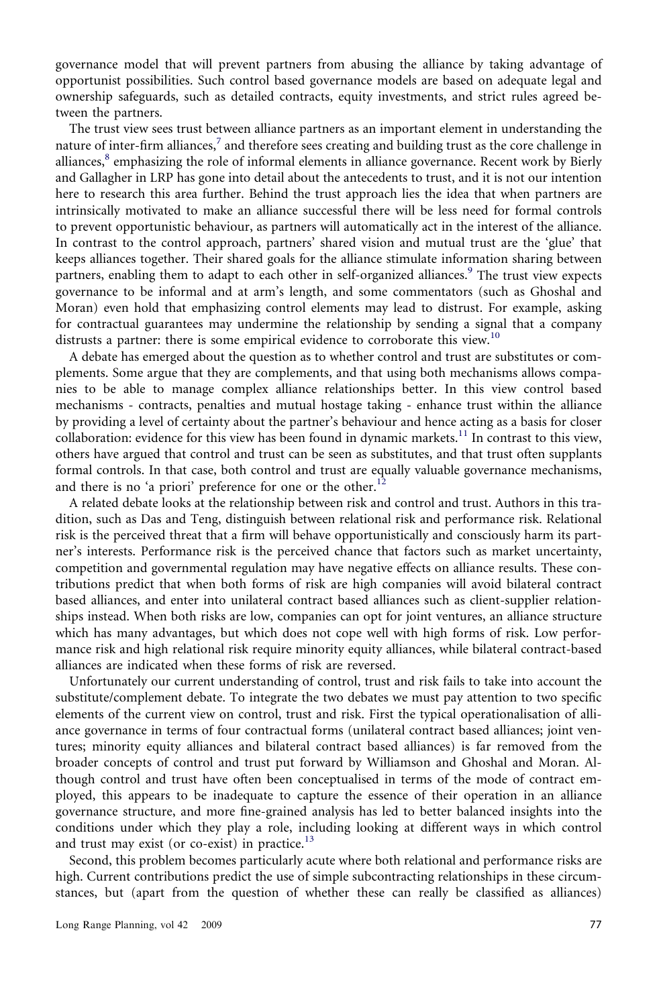governance model that will prevent partners from abusing the alliance by taking advantage of opportunist possibilities. Such control based governance models are based on adequate legal and ownership safeguards, such as detailed contracts, equity investments, and strict rules agreed between the partners.

The trust view sees trust between alliance partners as an important element in understanding the nature of inter-firm alliances, $^7$  $^7$  and therefore sees creating and building trust as the core challenge in alliances,<sup>8</sup> emphasizing the role of informal elements in alliance governance. Recent work by Bierly and Gallagher in LRP has gone into detail about the antecedents to trust, and it is not our intention here to research this area further. Behind the trust approach lies the idea that when partners are intrinsically motivated to make an alliance successful there will be less need for formal controls to prevent opportunistic behaviour, as partners will automatically act in the interest of the alliance. In contrast to the control approach, partners' shared vision and mutual trust are the 'glue' that keeps alliances together. Their shared goals for the alliance stimulate information sharing between partners, enabling them to adapt to each other in self-organized alliances.<sup>[9](#page-19-0)</sup> The trust view expects governance to be informal and at arm's length, and some commentators (such as Ghoshal and Moran) even hold that emphasizing control elements may lead to distrust. For example, asking for contractual guarantees may undermine the relationship by sending a signal that a company distrusts a partner: there is some empirical evidence to corroborate this view.<sup>[10](#page-19-0)</sup>

A debate has emerged about the question as to whether control and trust are substitutes or complements. Some argue that they are complements, and that using both mechanisms allows companies to be able to manage complex alliance relationships better. In this view control based mechanisms - contracts, penalties and mutual hostage taking - enhance trust within the alliance by providing a level of certainty about the partner's behaviour and hence acting as a basis for closer collaboration: evidence for this view has been found in dynamic markets.<sup>[11](#page-19-0)</sup> In contrast to this view, others have argued that control and trust can be seen as substitutes, and that trust often supplants formal controls. In that case, both control and trust are equally valuable governance mechanisms, and there is no 'a priori' preference for one or the other.<sup>[12](#page-19-0)</sup>

A related debate looks at the relationship between risk and control and trust. Authors in this tradition, such as Das and Teng, distinguish between relational risk and performance risk. Relational risk is the perceived threat that a firm will behave opportunistically and consciously harm its partner's interests. Performance risk is the perceived chance that factors such as market uncertainty, competition and governmental regulation may have negative effects on alliance results. These contributions predict that when both forms of risk are high companies will avoid bilateral contract based alliances, and enter into unilateral contract based alliances such as client-supplier relationships instead. When both risks are low, companies can opt for joint ventures, an alliance structure which has many advantages, but which does not cope well with high forms of risk. Low performance risk and high relational risk require minority equity alliances, while bilateral contract-based alliances are indicated when these forms of risk are reversed.

Unfortunately our current understanding of control, trust and risk fails to take into account the substitute/complement debate. To integrate the two debates we must pay attention to two specific elements of the current view on control, trust and risk. First the typical operationalisation of alliance governance in terms of four contractual forms (unilateral contract based alliances; joint ventures; minority equity alliances and bilateral contract based alliances) is far removed from the broader concepts of control and trust put forward by Williamson and Ghoshal and Moran. Although control and trust have often been conceptualised in terms of the mode of contract employed, this appears to be inadequate to capture the essence of their operation in an alliance governance structure, and more fine-grained analysis has led to better balanced insights into the conditions under which they play a role, including looking at different ways in which control and trust may exist (or co-exist) in practice.<sup>[13](#page-19-0)</sup>

Second, this problem becomes particularly acute where both relational and performance risks are high. Current contributions predict the use of simple subcontracting relationships in these circumstances, but (apart from the question of whether these can really be classified as alliances)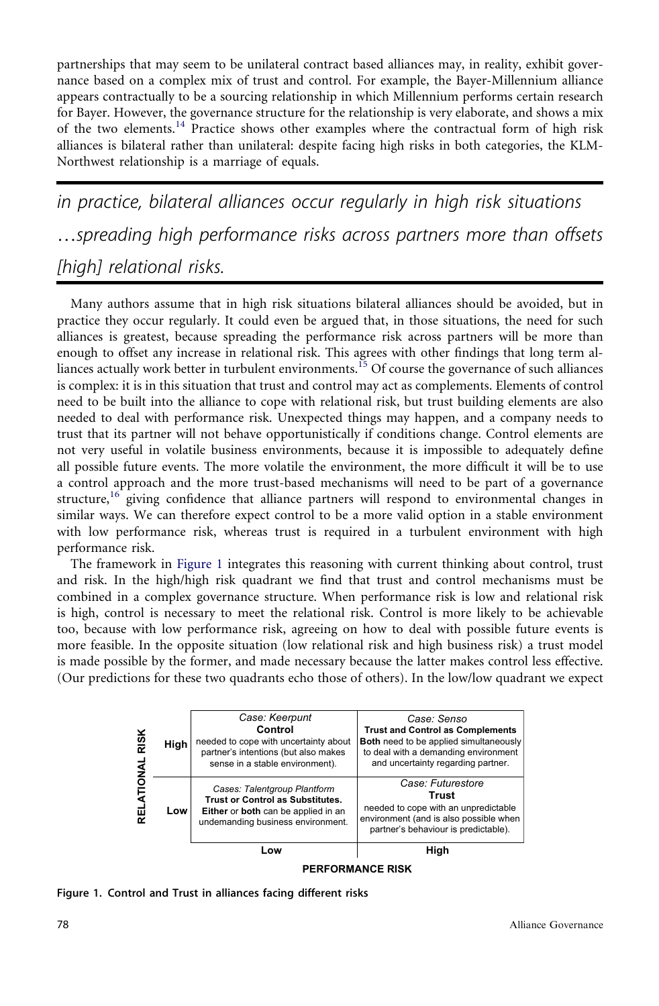<span id="page-3-0"></span>partnerships that may seem to be unilateral contract based alliances may, in reality, exhibit governance based on a complex mix of trust and control. For example, the Bayer-Millennium alliance appears contractually to be a sourcing relationship in which Millennium performs certain research for Bayer. However, the governance structure for the relationship is very elaborate, and shows a mix of the two elements.<sup>[14](#page-19-0)</sup> Practice shows other examples where the contractual form of high risk alliances is bilateral rather than unilateral: despite facing high risks in both categories, the KLM-Northwest relationship is a marriage of equals.

in practice, bilateral alliances occur regularly in high risk situations ...spreading high performance risks across partners more than offsets [high] relational risks.

Many authors assume that in high risk situations bilateral alliances should be avoided, but in practice they occur regularly. It could even be argued that, in those situations, the need for such alliances is greatest, because spreading the performance risk across partners will be more than enough to offset any increase in relational risk. This agrees with other findings that long term al-liances actually work better in turbulent environments.<sup>[15](#page-20-0)</sup> Of course the governance of such alliances is complex: it is in this situation that trust and control may act as complements. Elements of control need to be built into the alliance to cope with relational risk, but trust building elements are also needed to deal with performance risk. Unexpected things may happen, and a company needs to trust that its partner will not behave opportunistically if conditions change. Control elements are not very useful in volatile business environments, because it is impossible to adequately define all possible future events. The more volatile the environment, the more difficult it will be to use a control approach and the more trust-based mechanisms will need to be part of a governance structure,<sup>[16](#page-20-0)</sup> giving confidence that alliance partners will respond to environmental changes in similar ways. We can therefore expect control to be a more valid option in a stable environment with low performance risk, whereas trust is required in a turbulent environment with high performance risk.

The framework in Figure 1 integrates this reasoning with current thinking about control, trust and risk. In the high/high risk quadrant we find that trust and control mechanisms must be combined in a complex governance structure. When performance risk is low and relational risk is high, control is necessary to meet the relational risk. Control is more likely to be achievable too, because with low performance risk, agreeing on how to deal with possible future events is more feasible. In the opposite situation (low relational risk and high business risk) a trust model is made possible by the former, and made necessary because the latter makes control less effective. (Our predictions for these two quadrants echo those of others). In the low/low quadrant we expect

| <b>RISK</b><br>RELATION, | Low  | Low                                                                                                                                                 | partner's behaviour is predictable).<br>High                                                                                                                                   |
|--------------------------|------|-----------------------------------------------------------------------------------------------------------------------------------------------------|--------------------------------------------------------------------------------------------------------------------------------------------------------------------------------|
|                          |      | Cases: Talentgroup Plantform<br><b>Trust or Control as Substitutes.</b><br>Either or both can be applied in an<br>undemanding business environment. | Case: Futurestore<br>Trust<br>needed to cope with an unpredictable<br>environment (and is also possible when                                                                   |
|                          | High | Case: Keerpunt<br>Control<br>needed to cope with uncertainty about<br>partner's intentions (but also makes<br>sense in a stable environment).       | Case: Senso<br><b>Trust and Control as Complements</b><br>Both need to be applied simultaneously<br>to deal with a demanding environment<br>and uncertainty regarding partner. |

Figure 1. Control and Trust in alliances facing different risks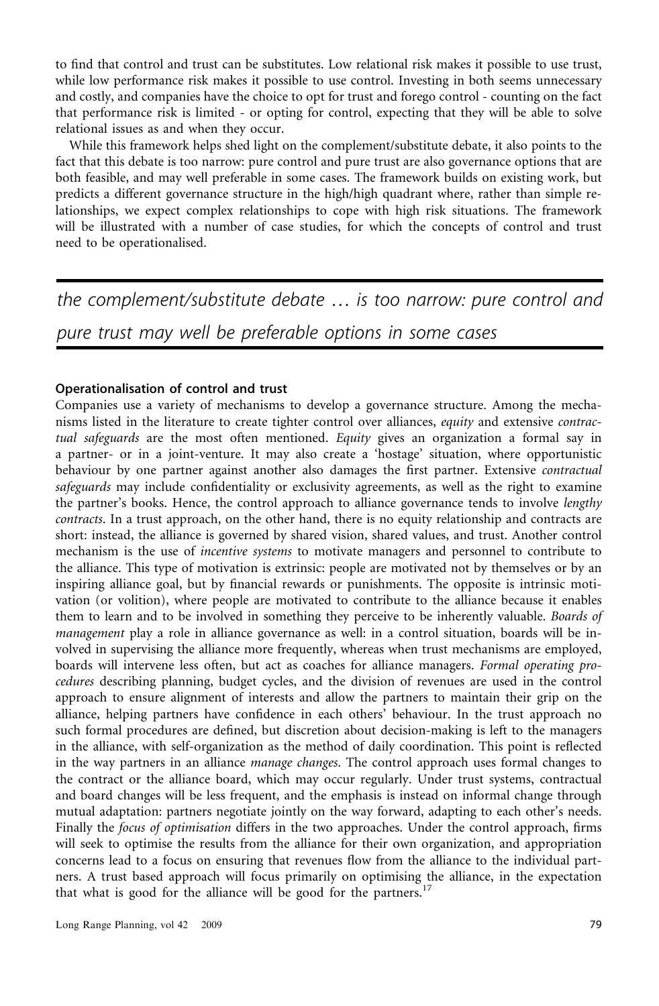to find that control and trust can be substitutes. Low relational risk makes it possible to use trust, while low performance risk makes it possible to use control. Investing in both seems unnecessary and costly, and companies have the choice to opt for trust and forego control - counting on the fact that performance risk is limited - or opting for control, expecting that they will be able to solve relational issues as and when they occur.

While this framework helps shed light on the complement/substitute debate, it also points to the fact that this debate is too narrow: pure control and pure trust are also governance options that are both feasible, and may well preferable in some cases. The framework builds on existing work, but predicts a different governance structure in the high/high quadrant where, rather than simple relationships, we expect complex relationships to cope with high risk situations. The framework will be illustrated with a number of case studies, for which the concepts of control and trust need to be operationalised.

the complement/substitute debate . is too narrow: pure control and pure trust may well be preferable options in some cases

#### Operationalisation of control and trust

Companies use a variety of mechanisms to develop a governance structure. Among the mechanisms listed in the literature to create tighter control over alliances, equity and extensive contractual safeguards are the most often mentioned. Equity gives an organization a formal say in a partner- or in a joint-venture. It may also create a 'hostage' situation, where opportunistic behaviour by one partner against another also damages the first partner. Extensive *contractual* safeguards may include confidentiality or exclusivity agreements, as well as the right to examine the partner's books. Hence, the control approach to alliance governance tends to involve lengthy contracts. In a trust approach, on the other hand, there is no equity relationship and contracts are short: instead, the alliance is governed by shared vision, shared values, and trust. Another control mechanism is the use of *incentive systems* to motivate managers and personnel to contribute to the alliance. This type of motivation is extrinsic: people are motivated not by themselves or by an inspiring alliance goal, but by financial rewards or punishments. The opposite is intrinsic motivation (or volition), where people are motivated to contribute to the alliance because it enables them to learn and to be involved in something they perceive to be inherently valuable. Boards of management play a role in alliance governance as well: in a control situation, boards will be involved in supervising the alliance more frequently, whereas when trust mechanisms are employed, boards will intervene less often, but act as coaches for alliance managers. Formal operating procedures describing planning, budget cycles, and the division of revenues are used in the control approach to ensure alignment of interests and allow the partners to maintain their grip on the alliance, helping partners have confidence in each others' behaviour. In the trust approach no such formal procedures are defined, but discretion about decision-making is left to the managers in the alliance, with self-organization as the method of daily coordination. This point is reflected in the way partners in an alliance *manage changes*. The control approach uses formal changes to the contract or the alliance board, which may occur regularly. Under trust systems, contractual and board changes will be less frequent, and the emphasis is instead on informal change through mutual adaptation: partners negotiate jointly on the way forward, adapting to each other's needs. Finally the *focus of optimisation* differs in the two approaches. Under the control approach, firms will seek to optimise the results from the alliance for their own organization, and appropriation concerns lead to a focus on ensuring that revenues flow from the alliance to the individual partners. A trust based approach will focus primarily on optimising the alliance, in the expectation that what is good for the alliance will be good for the partners.<sup>17</sup>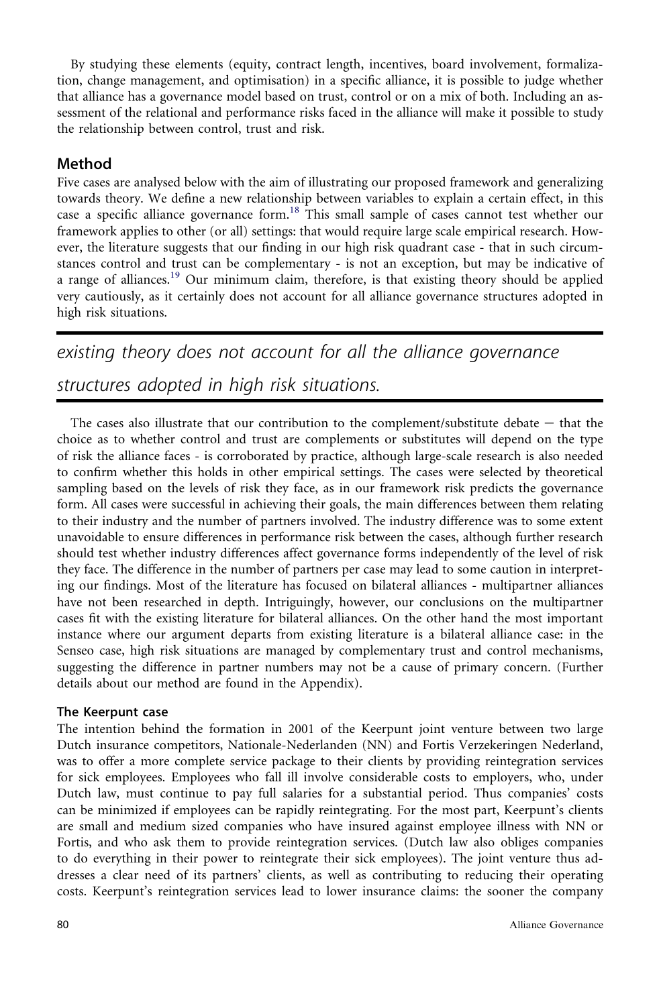By studying these elements (equity, contract length, incentives, board involvement, formalization, change management, and optimisation) in a specific alliance, it is possible to judge whether that alliance has a governance model based on trust, control or on a mix of both. Including an assessment of the relational and performance risks faced in the alliance will make it possible to study the relationship between control, trust and risk.

## Method

Five cases are analysed below with the aim of illustrating our proposed framework and generalizing towards theory. We define a new relationship between variables to explain a certain effect, in this case a specific alliance governance form.[18](#page-20-0) This small sample of cases cannot test whether our framework applies to other (or all) settings: that would require large scale empirical research. However, the literature suggests that our finding in our high risk quadrant case - that in such circumstances control and trust can be complementary - is not an exception, but may be indicative of a range of alliances.<sup>19</sup> Our minimum claim, therefore, is that existing theory should be applied very cautiously, as it certainly does not account for all alliance governance structures adopted in high risk situations.

existing theory does not account for all the alliance governance structures adopted in high risk situations.

The cases also illustrate that our contribution to the complement/substitute debate  $-$  that the choice as to whether control and trust are complements or substitutes will depend on the type of risk the alliance faces - is corroborated by practice, although large-scale research is also needed to confirm whether this holds in other empirical settings. The cases were selected by theoretical sampling based on the levels of risk they face, as in our framework risk predicts the governance form. All cases were successful in achieving their goals, the main differences between them relating to their industry and the number of partners involved. The industry difference was to some extent unavoidable to ensure differences in performance risk between the cases, although further research should test whether industry differences affect governance forms independently of the level of risk they face. The difference in the number of partners per case may lead to some caution in interpreting our findings. Most of the literature has focused on bilateral alliances - multipartner alliances have not been researched in depth. Intriguingly, however, our conclusions on the multipartner cases fit with the existing literature for bilateral alliances. On the other hand the most important instance where our argument departs from existing literature is a bilateral alliance case: in the Senseo case, high risk situations are managed by complementary trust and control mechanisms, suggesting the difference in partner numbers may not be a cause of primary concern. (Further details about our method are found in the Appendix).

#### The Keerpunt case

The intention behind the formation in 2001 of the Keerpunt joint venture between two large Dutch insurance competitors, Nationale-Nederlanden (NN) and Fortis Verzekeringen Nederland, was to offer a more complete service package to their clients by providing reintegration services for sick employees. Employees who fall ill involve considerable costs to employers, who, under Dutch law, must continue to pay full salaries for a substantial period. Thus companies' costs can be minimized if employees can be rapidly reintegrating. For the most part, Keerpunt's clients are small and medium sized companies who have insured against employee illness with NN or Fortis, and who ask them to provide reintegration services. (Dutch law also obliges companies to do everything in their power to reintegrate their sick employees). The joint venture thus addresses a clear need of its partners' clients, as well as contributing to reducing their operating costs. Keerpunt's reintegration services lead to lower insurance claims: the sooner the company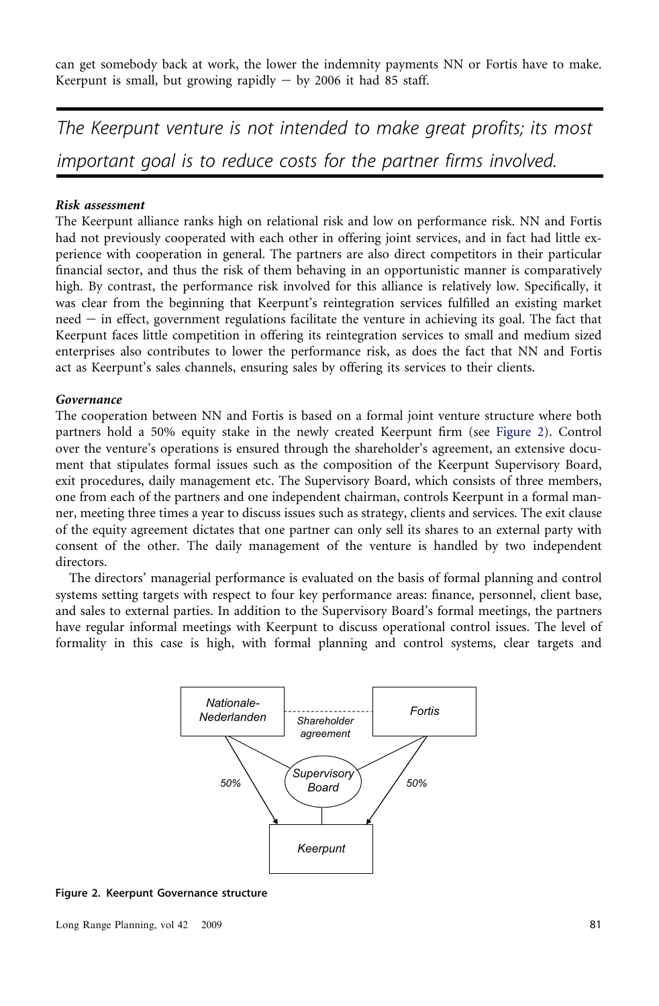can get somebody back at work, the lower the indemnity payments NN or Fortis have to make. Keerpunt is small, but growing rapidly  $-$  by 2006 it had 85 staff.

The Keerpunt venture is not intended to make great profits; its most important goal is to reduce costs for the partner firms involved.

#### Risk assessment

The Keerpunt alliance ranks high on relational risk and low on performance risk. NN and Fortis had not previously cooperated with each other in offering joint services, and in fact had little experience with cooperation in general. The partners are also direct competitors in their particular financial sector, and thus the risk of them behaving in an opportunistic manner is comparatively high. By contrast, the performance risk involved for this alliance is relatively low. Specifically, it was clear from the beginning that Keerpunt's reintegration services fulfilled an existing market need – in effect, government regulations facilitate the venture in achieving its goal. The fact that Keerpunt faces little competition in offering its reintegration services to small and medium sized enterprises also contributes to lower the performance risk, as does the fact that NN and Fortis act as Keerpunt's sales channels, ensuring sales by offering its services to their clients.

#### Governance

The cooperation between NN and Fortis is based on a formal joint venture structure where both partners hold a 50% equity stake in the newly created Keerpunt firm (see Figure 2). Control over the venture's operations is ensured through the shareholder's agreement, an extensive document that stipulates formal issues such as the composition of the Keerpunt Supervisory Board, exit procedures, daily management etc. The Supervisory Board, which consists of three members, one from each of the partners and one independent chairman, controls Keerpunt in a formal manner, meeting three times a year to discuss issues such as strategy, clients and services. The exit clause of the equity agreement dictates that one partner can only sell its shares to an external party with consent of the other. The daily management of the venture is handled by two independent directors.

The directors' managerial performance is evaluated on the basis of formal planning and control systems setting targets with respect to four key performance areas: finance, personnel, client base, and sales to external parties. In addition to the Supervisory Board's formal meetings, the partners have regular informal meetings with Keerpunt to discuss operational control issues. The level of formality in this case is high, with formal planning and control systems, clear targets and



Figure 2. Keerpunt Governance structure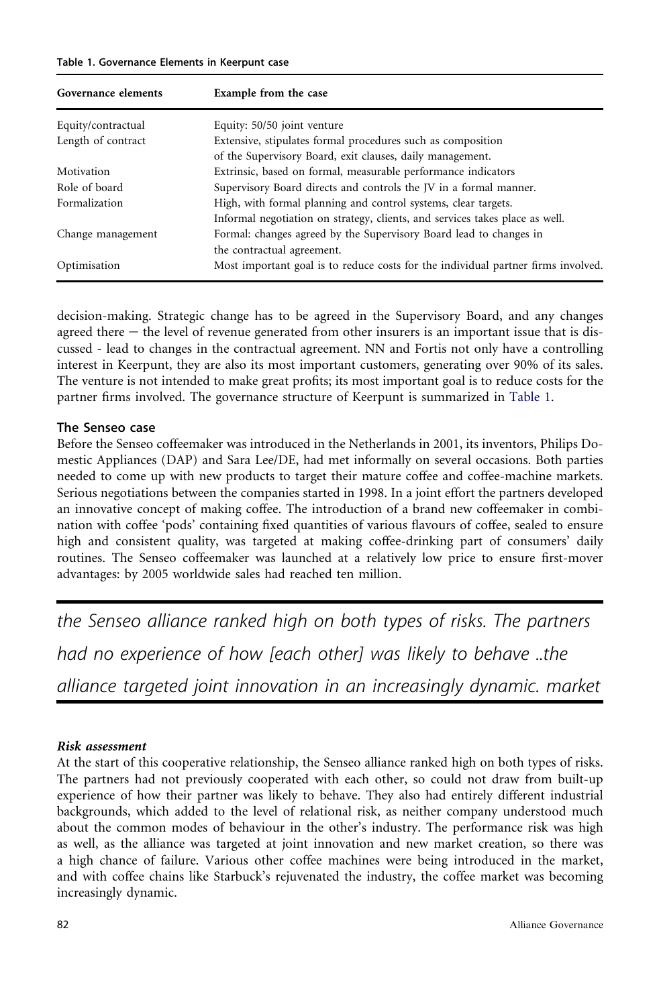#### Table 1. Governance Elements in Keerpunt case

| Governance elements | Example from the case                                                             |  |  |
|---------------------|-----------------------------------------------------------------------------------|--|--|
| Equity/contractual  | Equity: 50/50 joint venture                                                       |  |  |
| Length of contract  | Extensive, stipulates formal procedures such as composition                       |  |  |
|                     | of the Supervisory Board, exit clauses, daily management.                         |  |  |
| Motivation          | Extrinsic, based on formal, measurable performance indicators                     |  |  |
| Role of board       | Supervisory Board directs and controls the JV in a formal manner.                 |  |  |
| Formalization       | High, with formal planning and control systems, clear targets.                    |  |  |
|                     | Informal negotiation on strategy, clients, and services takes place as well.      |  |  |
| Change management   | Formal: changes agreed by the Supervisory Board lead to changes in                |  |  |
|                     | the contractual agreement.                                                        |  |  |
| Optimisation        | Most important goal is to reduce costs for the individual partner firms involved. |  |  |

decision-making. Strategic change has to be agreed in the Supervisory Board, and any changes agreed there  $-$  the level of revenue generated from other insurers is an important issue that is discussed - lead to changes in the contractual agreement. NN and Fortis not only have a controlling interest in Keerpunt, they are also its most important customers, generating over 90% of its sales. The venture is not intended to make great profits; its most important goal is to reduce costs for the partner firms involved. The governance structure of Keerpunt is summarized in Table 1.

#### The Senseo case

Before the Senseo coffeemaker was introduced in the Netherlands in 2001, its inventors, Philips Domestic Appliances (DAP) and Sara Lee/DE, had met informally on several occasions. Both parties needed to come up with new products to target their mature coffee and coffee-machine markets. Serious negotiations between the companies started in 1998. In a joint effort the partners developed an innovative concept of making coffee. The introduction of a brand new coffeemaker in combination with coffee 'pods' containing fixed quantities of various flavours of coffee, sealed to ensure high and consistent quality, was targeted at making coffee-drinking part of consumers' daily routines. The Senseo coffeemaker was launched at a relatively low price to ensure first-mover advantages: by 2005 worldwide sales had reached ten million.

the Senseo alliance ranked high on both types of risks. The partners had no experience of how [each other] was likely to behave ..the alliance targeted joint innovation in an increasingly dynamic. market

#### Risk assessment

At the start of this cooperative relationship, the Senseo alliance ranked high on both types of risks. The partners had not previously cooperated with each other, so could not draw from built-up experience of how their partner was likely to behave. They also had entirely different industrial backgrounds, which added to the level of relational risk, as neither company understood much about the common modes of behaviour in the other's industry. The performance risk was high as well, as the alliance was targeted at joint innovation and new market creation, so there was a high chance of failure. Various other coffee machines were being introduced in the market, and with coffee chains like Starbuck's rejuvenated the industry, the coffee market was becoming increasingly dynamic.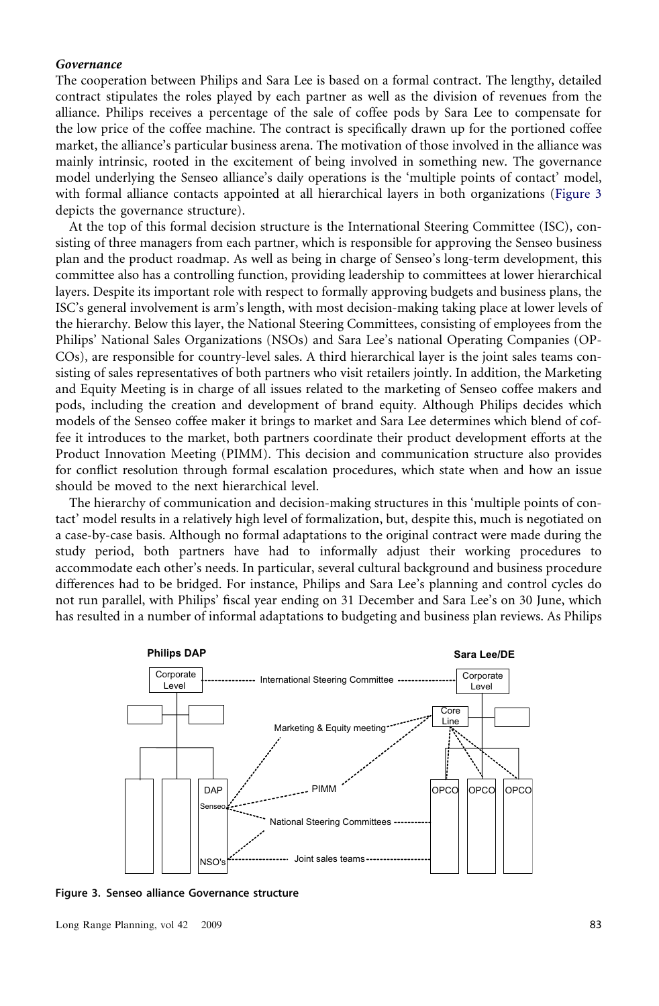#### Governance

The cooperation between Philips and Sara Lee is based on a formal contract. The lengthy, detailed contract stipulates the roles played by each partner as well as the division of revenues from the alliance. Philips receives a percentage of the sale of coffee pods by Sara Lee to compensate for the low price of the coffee machine. The contract is specifically drawn up for the portioned coffee market, the alliance's particular business arena. The motivation of those involved in the alliance was mainly intrinsic, rooted in the excitement of being involved in something new. The governance model underlying the Senseo alliance's daily operations is the 'multiple points of contact' model, with formal alliance contacts appointed at all hierarchical layers in both organizations (Figure 3 depicts the governance structure).

At the top of this formal decision structure is the International Steering Committee (ISC), consisting of three managers from each partner, which is responsible for approving the Senseo business plan and the product roadmap. As well as being in charge of Senseo's long-term development, this committee also has a controlling function, providing leadership to committees at lower hierarchical layers. Despite its important role with respect to formally approving budgets and business plans, the ISC's general involvement is arm's length, with most decision-making taking place at lower levels of the hierarchy. Below this layer, the National Steering Committees, consisting of employees from the Philips' National Sales Organizations (NSOs) and Sara Lee's national Operating Companies (OP-COs), are responsible for country-level sales. A third hierarchical layer is the joint sales teams consisting of sales representatives of both partners who visit retailers jointly. In addition, the Marketing and Equity Meeting is in charge of all issues related to the marketing of Senseo coffee makers and pods, including the creation and development of brand equity. Although Philips decides which models of the Senseo coffee maker it brings to market and Sara Lee determines which blend of coffee it introduces to the market, both partners coordinate their product development efforts at the Product Innovation Meeting (PIMM). This decision and communication structure also provides for conflict resolution through formal escalation procedures, which state when and how an issue should be moved to the next hierarchical level.

The hierarchy of communication and decision-making structures in this 'multiple points of contact' model results in a relatively high level of formalization, but, despite this, much is negotiated on a case-by-case basis. Although no formal adaptations to the original contract were made during the study period, both partners have had to informally adjust their working procedures to accommodate each other's needs. In particular, several cultural background and business procedure differences had to be bridged. For instance, Philips and Sara Lee's planning and control cycles do not run parallel, with Philips' fiscal year ending on 31 December and Sara Lee's on 30 June, which has resulted in a number of informal adaptations to budgeting and business plan reviews. As Philips



Figure 3. Senseo alliance Governance structure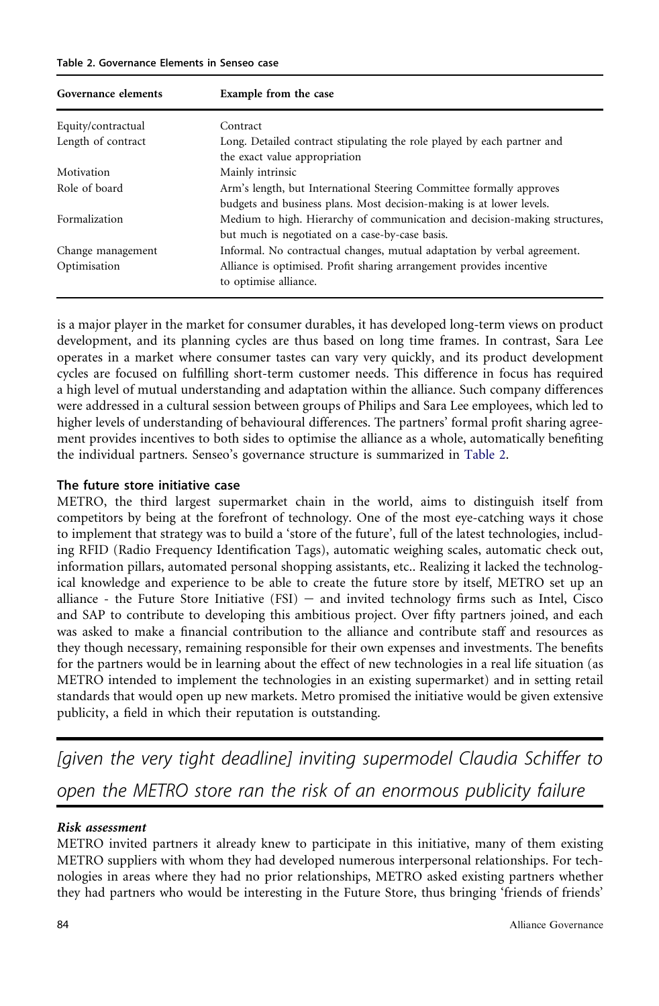| Governance elements | Example from the case                                                      |  |  |  |
|---------------------|----------------------------------------------------------------------------|--|--|--|
| Equity/contractual  | Contract                                                                   |  |  |  |
| Length of contract  | Long. Detailed contract stipulating the role played by each partner and    |  |  |  |
|                     | the exact value appropriation                                              |  |  |  |
| Motivation          | Mainly intrinsic                                                           |  |  |  |
| Role of board       | Arm's length, but International Steering Committee formally approves       |  |  |  |
|                     | budgets and business plans. Most decision-making is at lower levels.       |  |  |  |
| Formalization       | Medium to high. Hierarchy of communication and decision-making structures, |  |  |  |
|                     | but much is negotiated on a case-by-case basis.                            |  |  |  |
| Change management   | Informal. No contractual changes, mutual adaptation by verbal agreement.   |  |  |  |
| Optimisation        | Alliance is optimised. Profit sharing arrangement provides incentive       |  |  |  |
|                     | to optimise alliance.                                                      |  |  |  |

is a major player in the market for consumer durables, it has developed long-term views on product development, and its planning cycles are thus based on long time frames. In contrast, Sara Lee operates in a market where consumer tastes can vary very quickly, and its product development cycles are focused on fulfilling short-term customer needs. This difference in focus has required a high level of mutual understanding and adaptation within the alliance. Such company differences were addressed in a cultural session between groups of Philips and Sara Lee employees, which led to higher levels of understanding of behavioural differences. The partners' formal profit sharing agreement provides incentives to both sides to optimise the alliance as a whole, automatically benefiting the individual partners. Senseo's governance structure is summarized in Table 2.

#### The future store initiative case

METRO, the third largest supermarket chain in the world, aims to distinguish itself from competitors by being at the forefront of technology. One of the most eye-catching ways it chose to implement that strategy was to build a 'store of the future', full of the latest technologies, including RFID (Radio Frequency Identification Tags), automatic weighing scales, automatic check out, information pillars, automated personal shopping assistants, etc.. Realizing it lacked the technological knowledge and experience to be able to create the future store by itself, METRO set up an alliance - the Future Store Initiative  $(FSI)$  - and invited technology firms such as Intel, Cisco and SAP to contribute to developing this ambitious project. Over fifty partners joined, and each was asked to make a financial contribution to the alliance and contribute staff and resources as they though necessary, remaining responsible for their own expenses and investments. The benefits for the partners would be in learning about the effect of new technologies in a real life situation (as METRO intended to implement the technologies in an existing supermarket) and in setting retail standards that would open up new markets. Metro promised the initiative would be given extensive publicity, a field in which their reputation is outstanding.

[given the very tight deadline] inviting supermodel Claudia Schiffer to open the METRO store ran the risk of an enormous publicity failure

#### Risk assessment

METRO invited partners it already knew to participate in this initiative, many of them existing METRO suppliers with whom they had developed numerous interpersonal relationships. For technologies in areas where they had no prior relationships, METRO asked existing partners whether they had partners who would be interesting in the Future Store, thus bringing 'friends of friends'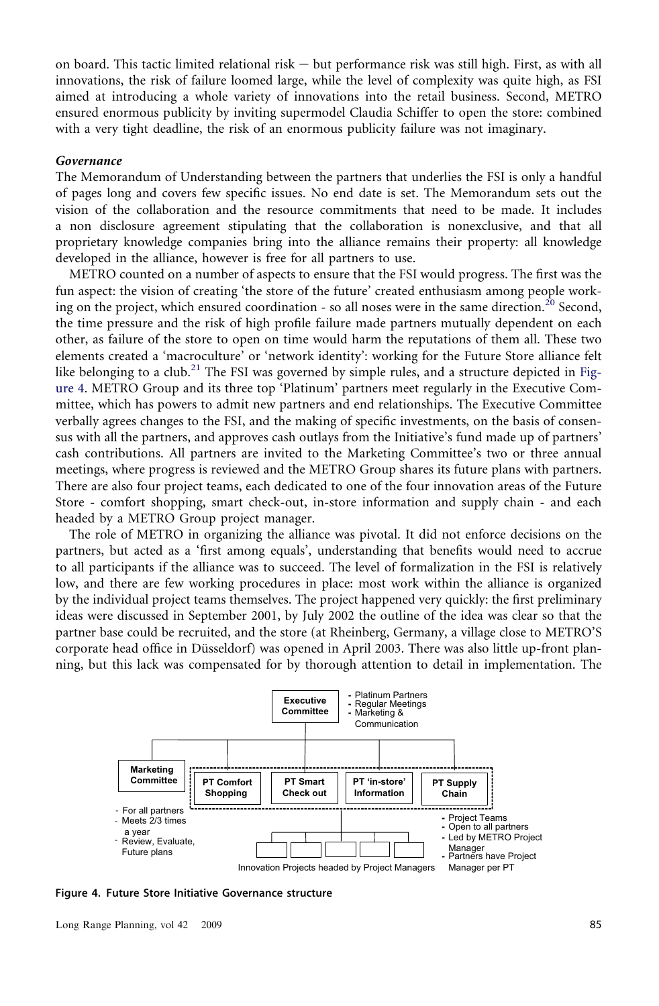on board. This tactic limited relational risk  $-$  but performance risk was still high. First, as with all innovations, the risk of failure loomed large, while the level of complexity was quite high, as FSI aimed at introducing a whole variety of innovations into the retail business. Second, METRO ensured enormous publicity by inviting supermodel Claudia Schiffer to open the store: combined with a very tight deadline, the risk of an enormous publicity failure was not imaginary.

#### Governance

The Memorandum of Understanding between the partners that underlies the FSI is only a handful of pages long and covers few specific issues. No end date is set. The Memorandum sets out the vision of the collaboration and the resource commitments that need to be made. It includes a non disclosure agreement stipulating that the collaboration is nonexclusive, and that all proprietary knowledge companies bring into the alliance remains their property: all knowledge developed in the alliance, however is free for all partners to use.

METRO counted on a number of aspects to ensure that the FSI would progress. The first was the fun aspect: the vision of creating 'the store of the future' created enthusiasm among people work-ing on the project, which ensured coordination - so all noses were in the same direction.<sup>[20](#page-20-0)</sup> Second, the time pressure and the risk of high profile failure made partners mutually dependent on each other, as failure of the store to open on time would harm the reputations of them all. These two elements created a 'macroculture' or 'network identity': working for the Future Store alliance felt like belonging to a club.<sup>[21](#page-20-0)</sup> The FSI was governed by simple rules, and a structure depicted in Figure 4. METRO Group and its three top 'Platinum' partners meet regularly in the Executive Committee, which has powers to admit new partners and end relationships. The Executive Committee verbally agrees changes to the FSI, and the making of specific investments, on the basis of consensus with all the partners, and approves cash outlays from the Initiative's fund made up of partners' cash contributions. All partners are invited to the Marketing Committee's two or three annual meetings, where progress is reviewed and the METRO Group shares its future plans with partners. There are also four project teams, each dedicated to one of the four innovation areas of the Future Store - comfort shopping, smart check-out, in-store information and supply chain - and each headed by a METRO Group project manager.

The role of METRO in organizing the alliance was pivotal. It did not enforce decisions on the partners, but acted as a 'first among equals', understanding that benefits would need to accrue to all participants if the alliance was to succeed. The level of formalization in the FSI is relatively low, and there are few working procedures in place: most work within the alliance is organized by the individual project teams themselves. The project happened very quickly: the first preliminary ideas were discussed in September 2001, by July 2002 the outline of the idea was clear so that the partner base could be recruited, and the store (at Rheinberg, Germany, a village close to METRO'S corporate head office in Düsseldorf) was opened in April 2003. There was also little up-front planning, but this lack was compensated for by thorough attention to detail in implementation. The



Figure 4. Future Store Initiative Governance structure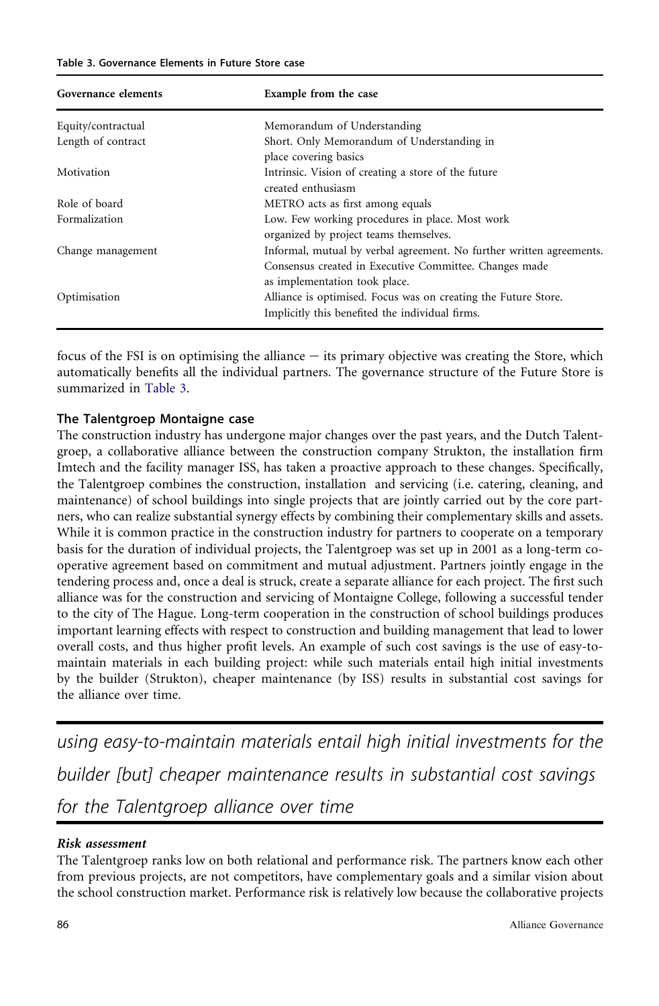#### Table 3. Governance Elements in Future Store case

| Governance elements | Example from the case                                                                                                                                           |  |  |
|---------------------|-----------------------------------------------------------------------------------------------------------------------------------------------------------------|--|--|
| Equity/contractual  | Memorandum of Understanding                                                                                                                                     |  |  |
| Length of contract  | Short. Only Memorandum of Understanding in                                                                                                                      |  |  |
|                     | place covering basics                                                                                                                                           |  |  |
| Motivation          | Intrinsic. Vision of creating a store of the future<br>created enthusiasm                                                                                       |  |  |
| Role of board       | METRO acts as first among equals                                                                                                                                |  |  |
| Formalization       | Low. Few working procedures in place. Most work<br>organized by project teams themselves.                                                                       |  |  |
| Change management   | Informal, mutual by verbal agreement. No further written agreements.<br>Consensus created in Executive Committee. Changes made<br>as implementation took place. |  |  |
| Optimisation        | Alliance is optimised. Focus was on creating the Future Store.<br>Implicitly this benefited the individual firms.                                               |  |  |

focus of the FSI is on optimising the alliance  $-$  its primary objective was creating the Store, which automatically benefits all the individual partners. The governance structure of the Future Store is summarized in Table 3.

#### The Talentgroep Montaigne case

The construction industry has undergone major changes over the past years, and the Dutch Talentgroep, a collaborative alliance between the construction company Strukton, the installation firm Imtech and the facility manager ISS, has taken a proactive approach to these changes. Specifically, the Talentgroep combines the construction, installation and servicing (i.e. catering, cleaning, and maintenance) of school buildings into single projects that are jointly carried out by the core partners, who can realize substantial synergy effects by combining their complementary skills and assets. While it is common practice in the construction industry for partners to cooperate on a temporary basis for the duration of individual projects, the Talentgroep was set up in 2001 as a long-term cooperative agreement based on commitment and mutual adjustment. Partners jointly engage in the tendering process and, once a deal is struck, create a separate alliance for each project. The first such alliance was for the construction and servicing of Montaigne College, following a successful tender to the city of The Hague. Long-term cooperation in the construction of school buildings produces important learning effects with respect to construction and building management that lead to lower overall costs, and thus higher profit levels. An example of such cost savings is the use of easy-tomaintain materials in each building project: while such materials entail high initial investments by the builder (Strukton), cheaper maintenance (by ISS) results in substantial cost savings for the alliance over time.

using easy-to-maintain materials entail high initial investments for the builder [but] cheaper maintenance results in substantial cost savings for the Talentgroep alliance over time

#### Risk assessment

The Talentgroep ranks low on both relational and performance risk. The partners know each other from previous projects, are not competitors, have complementary goals and a similar vision about the school construction market. Performance risk is relatively low because the collaborative projects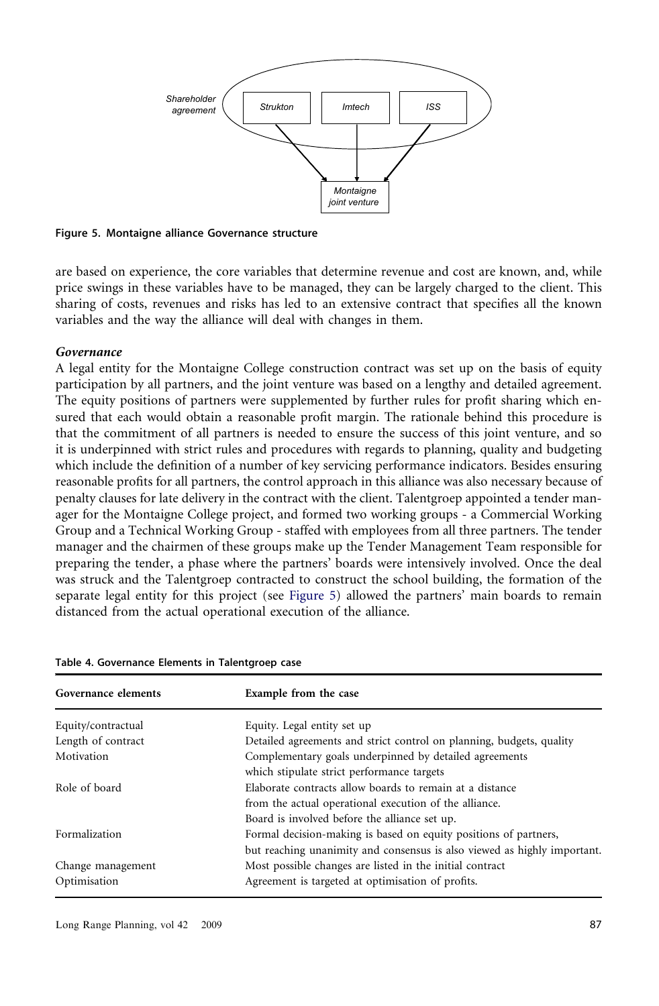<span id="page-12-0"></span>

Figure 5. Montaigne alliance Governance structure

are based on experience, the core variables that determine revenue and cost are known, and, while price swings in these variables have to be managed, they can be largely charged to the client. This sharing of costs, revenues and risks has led to an extensive contract that specifies all the known variables and the way the alliance will deal with changes in them.

#### Governance

A legal entity for the Montaigne College construction contract was set up on the basis of equity participation by all partners, and the joint venture was based on a lengthy and detailed agreement. The equity positions of partners were supplemented by further rules for profit sharing which ensured that each would obtain a reasonable profit margin. The rationale behind this procedure is that the commitment of all partners is needed to ensure the success of this joint venture, and so it is underpinned with strict rules and procedures with regards to planning, quality and budgeting which include the definition of a number of key servicing performance indicators. Besides ensuring reasonable profits for all partners, the control approach in this alliance was also necessary because of penalty clauses for late delivery in the contract with the client. Talentgroep appointed a tender manager for the Montaigne College project, and formed two working groups - a Commercial Working Group and a Technical Working Group - staffed with employees from all three partners. The tender manager and the chairmen of these groups make up the Tender Management Team responsible for preparing the tender, a phase where the partners' boards were intensively involved. Once the deal was struck and the Talentgroep contracted to construct the school building, the formation of the separate legal entity for this project (see Figure 5) allowed the partners' main boards to remain distanced from the actual operational execution of the alliance.

| Governance elements | Example from the case                                                    |  |  |  |
|---------------------|--------------------------------------------------------------------------|--|--|--|
| Equity/contractual  | Equity. Legal entity set up                                              |  |  |  |
| Length of contract  | Detailed agreements and strict control on planning, budgets, quality     |  |  |  |
| Motivation          | Complementary goals underpinned by detailed agreements                   |  |  |  |
|                     | which stipulate strict performance targets                               |  |  |  |
| Role of board       | Elaborate contracts allow boards to remain at a distance                 |  |  |  |
|                     | from the actual operational execution of the alliance.                   |  |  |  |
|                     | Board is involved before the alliance set up.                            |  |  |  |
| Formalization       | Formal decision-making is based on equity positions of partners,         |  |  |  |
|                     | but reaching unanimity and consensus is also viewed as highly important. |  |  |  |
| Change management   | Most possible changes are listed in the initial contract                 |  |  |  |
| Optimisation        | Agreement is targeted at optimisation of profits.                        |  |  |  |

Table 4. Governance Elements in Talentgroep case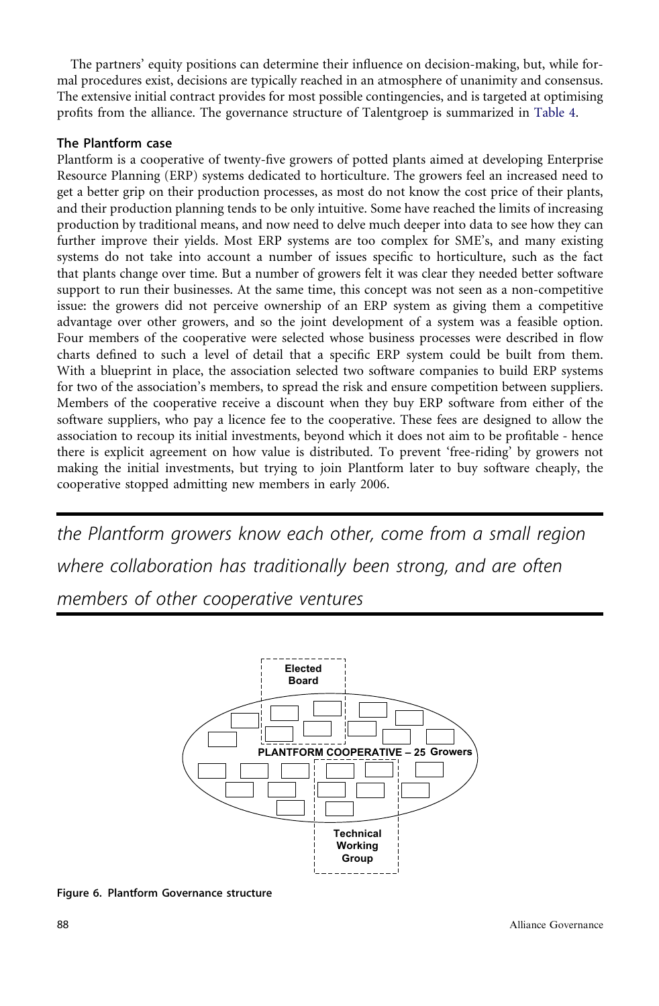<span id="page-13-0"></span>The partners' equity positions can determine their influence on decision-making, but, while formal procedures exist, decisions are typically reached in an atmosphere of unanimity and consensus. The extensive initial contract provides for most possible contingencies, and is targeted at optimising profits from the alliance. The governance structure of Talentgroep is summarized in [Table 4.](#page-12-0)

#### The Plantform case

Plantform is a cooperative of twenty-five growers of potted plants aimed at developing Enterprise Resource Planning (ERP) systems dedicated to horticulture. The growers feel an increased need to get a better grip on their production processes, as most do not know the cost price of their plants, and their production planning tends to be only intuitive. Some have reached the limits of increasing production by traditional means, and now need to delve much deeper into data to see how they can further improve their yields. Most ERP systems are too complex for SME's, and many existing systems do not take into account a number of issues specific to horticulture, such as the fact that plants change over time. But a number of growers felt it was clear they needed better software support to run their businesses. At the same time, this concept was not seen as a non-competitive issue: the growers did not perceive ownership of an ERP system as giving them a competitive advantage over other growers, and so the joint development of a system was a feasible option. Four members of the cooperative were selected whose business processes were described in flow charts defined to such a level of detail that a specific ERP system could be built from them. With a blueprint in place, the association selected two software companies to build ERP systems for two of the association's members, to spread the risk and ensure competition between suppliers. Members of the cooperative receive a discount when they buy ERP software from either of the software suppliers, who pay a licence fee to the cooperative. These fees are designed to allow the association to recoup its initial investments, beyond which it does not aim to be profitable - hence there is explicit agreement on how value is distributed. To prevent 'free-riding' by growers not making the initial investments, but trying to join Plantform later to buy software cheaply, the cooperative stopped admitting new members in early 2006.

the Plantform growers know each other, come from a small region where collaboration has traditionally been strong, and are often members of other cooperative ventures



Figure 6. Plantform Governance structure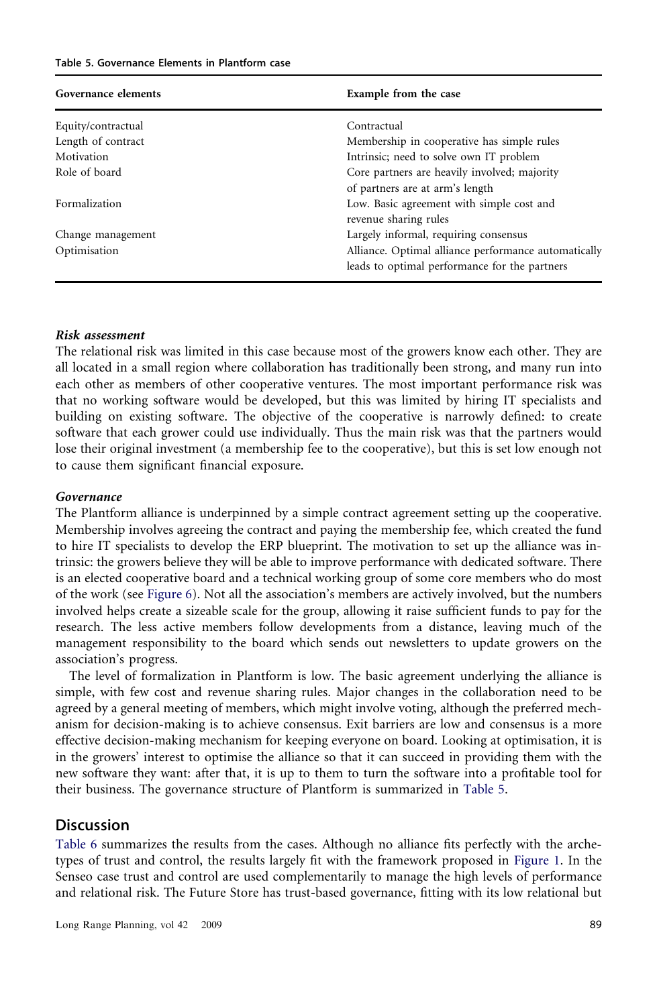#### Table 5. Governance Elements in Plantform case

| Governance elements | Example from the case                                |  |  |
|---------------------|------------------------------------------------------|--|--|
| Equity/contractual  | Contractual                                          |  |  |
| Length of contract  | Membership in cooperative has simple rules           |  |  |
| Motivation          | Intrinsic; need to solve own IT problem              |  |  |
| Role of board       | Core partners are heavily involved; majority         |  |  |
|                     | of partners are at arm's length                      |  |  |
| Formalization       | Low. Basic agreement with simple cost and            |  |  |
|                     | revenue sharing rules                                |  |  |
| Change management   | Largely informal, requiring consensus                |  |  |
| Optimisation        | Alliance. Optimal alliance performance automatically |  |  |
|                     | leads to optimal performance for the partners        |  |  |

#### Risk assessment

The relational risk was limited in this case because most of the growers know each other. They are all located in a small region where collaboration has traditionally been strong, and many run into each other as members of other cooperative ventures. The most important performance risk was that no working software would be developed, but this was limited by hiring IT specialists and building on existing software. The objective of the cooperative is narrowly defined: to create software that each grower could use individually. Thus the main risk was that the partners would lose their original investment (a membership fee to the cooperative), but this is set low enough not to cause them significant financial exposure.

#### Governance

The Plantform alliance is underpinned by a simple contract agreement setting up the cooperative. Membership involves agreeing the contract and paying the membership fee, which created the fund to hire IT specialists to develop the ERP blueprint. The motivation to set up the alliance was intrinsic: the growers believe they will be able to improve performance with dedicated software. There is an elected cooperative board and a technical working group of some core members who do most of the work (see [Figure 6](#page-13-0)). Not all the association's members are actively involved, but the numbers involved helps create a sizeable scale for the group, allowing it raise sufficient funds to pay for the research. The less active members follow developments from a distance, leaving much of the management responsibility to the board which sends out newsletters to update growers on the association's progress.

The level of formalization in Plantform is low. The basic agreement underlying the alliance is simple, with few cost and revenue sharing rules. Major changes in the collaboration need to be agreed by a general meeting of members, which might involve voting, although the preferred mechanism for decision-making is to achieve consensus. Exit barriers are low and consensus is a more effective decision-making mechanism for keeping everyone on board. Looking at optimisation, it is in the growers' interest to optimise the alliance so that it can succeed in providing them with the new software they want: after that, it is up to them to turn the software into a profitable tool for their business. The governance structure of Plantform is summarized in Table 5.

#### **Discussion**

[Table 6](#page-15-0) summarizes the results from the cases. Although no alliance fits perfectly with the archetypes of trust and control, the results largely fit with the framework proposed in [Figure 1](#page-3-0). In the Senseo case trust and control are used complementarily to manage the high levels of performance and relational risk. The Future Store has trust-based governance, fitting with its low relational but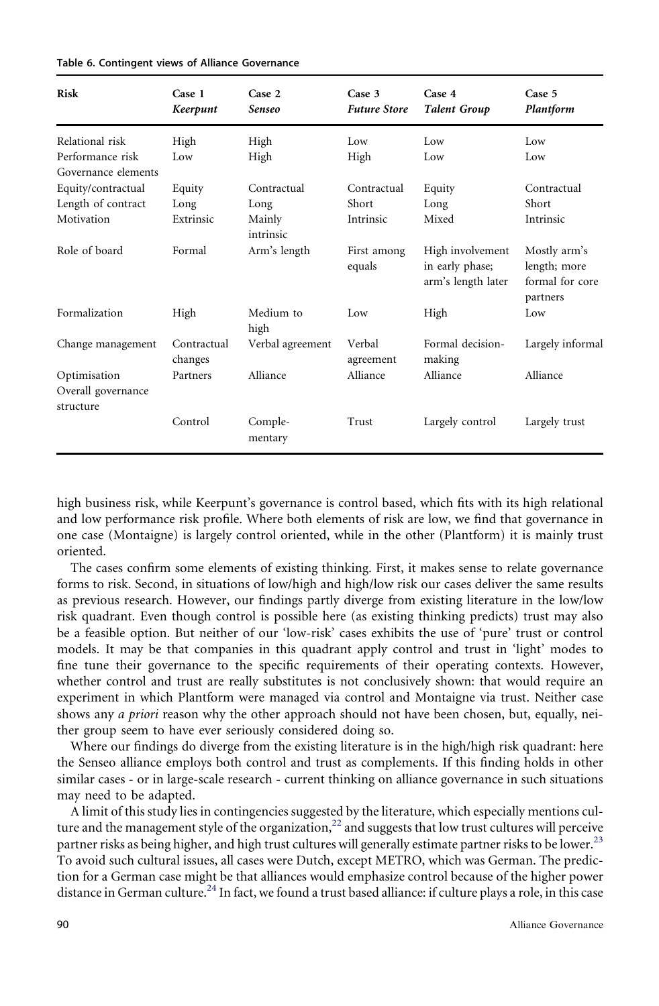| <b>Risk</b>                                     | Case 1<br>Keerpunt     | Case 2<br>Senseo    | Case 3<br><b>Future Store</b> | Case 4<br><b>Talent Group</b>                             | Case 5<br>Plantform                                         |
|-------------------------------------------------|------------------------|---------------------|-------------------------------|-----------------------------------------------------------|-------------------------------------------------------------|
| Relational risk                                 | High                   | High                | Low                           | Low                                                       | Low                                                         |
| Performance risk<br>Governance elements         | Low                    | High                | High                          | Low                                                       | Low                                                         |
| Equity/contractual                              | Equity                 | Contractual         | Contractual                   | Equity                                                    | Contractual                                                 |
| Length of contract                              | Long                   | Long                | Short                         | Long                                                      | Short                                                       |
| Motivation                                      | Extrinsic              | Mainly<br>intrinsic | Intrinsic                     | Mixed                                                     | Intrinsic                                                   |
| Role of board                                   | Formal                 | Arm's length        | First among<br>equals         | High involvement<br>in early phase;<br>arm's length later | Mostly arm's<br>length; more<br>formal for core<br>partners |
| Formalization                                   | High                   | Medium to<br>high   | Low                           | High                                                      | Low                                                         |
| Change management                               | Contractual<br>changes | Verbal agreement    | Verbal<br>agreement           | Formal decision-<br>making                                | Largely informal                                            |
| Optimisation<br>Overall governance<br>structure | Partners               | Alliance            | Alliance                      | Alliance                                                  | Alliance                                                    |
|                                                 | Control                | Comple-<br>mentary  | Trust                         | Largely control                                           | Largely trust                                               |

<span id="page-15-0"></span>Table 6. Contingent views of Alliance Governance

high business risk, while Keerpunt's governance is control based, which fits with its high relational and low performance risk profile. Where both elements of risk are low, we find that governance in one case (Montaigne) is largely control oriented, while in the other (Plantform) it is mainly trust oriented.

The cases confirm some elements of existing thinking. First, it makes sense to relate governance forms to risk. Second, in situations of low/high and high/low risk our cases deliver the same results as previous research. However, our findings partly diverge from existing literature in the low/low risk quadrant. Even though control is possible here (as existing thinking predicts) trust may also be a feasible option. But neither of our 'low-risk' cases exhibits the use of 'pure' trust or control models. It may be that companies in this quadrant apply control and trust in 'light' modes to fine tune their governance to the specific requirements of their operating contexts. However, whether control and trust are really substitutes is not conclusively shown: that would require an experiment in which Plantform were managed via control and Montaigne via trust. Neither case shows any *a priori* reason why the other approach should not have been chosen, but, equally, neither group seem to have ever seriously considered doing so.

Where our findings do diverge from the existing literature is in the high/high risk quadrant: here the Senseo alliance employs both control and trust as complements. If this finding holds in other similar cases - or in large-scale research - current thinking on alliance governance in such situations may need to be adapted.

A limit of this study lies in contingencies suggested by the literature, which especially mentions culture and the management style of the organization,  $^{22}$  and suggests that low trust cultures will perceive partner risks as being higher, and high trust cultures will generally estimate partner risks to be lower.<sup>[23](#page-20-0)</sup> To avoid such cultural issues, all cases were Dutch, except METRO, which was German. The prediction for a German case might be that alliances would emphasize control because of the higher power distance in German culture.<sup>24</sup> In fact, we found a trust based alliance: if culture plays a role, in this case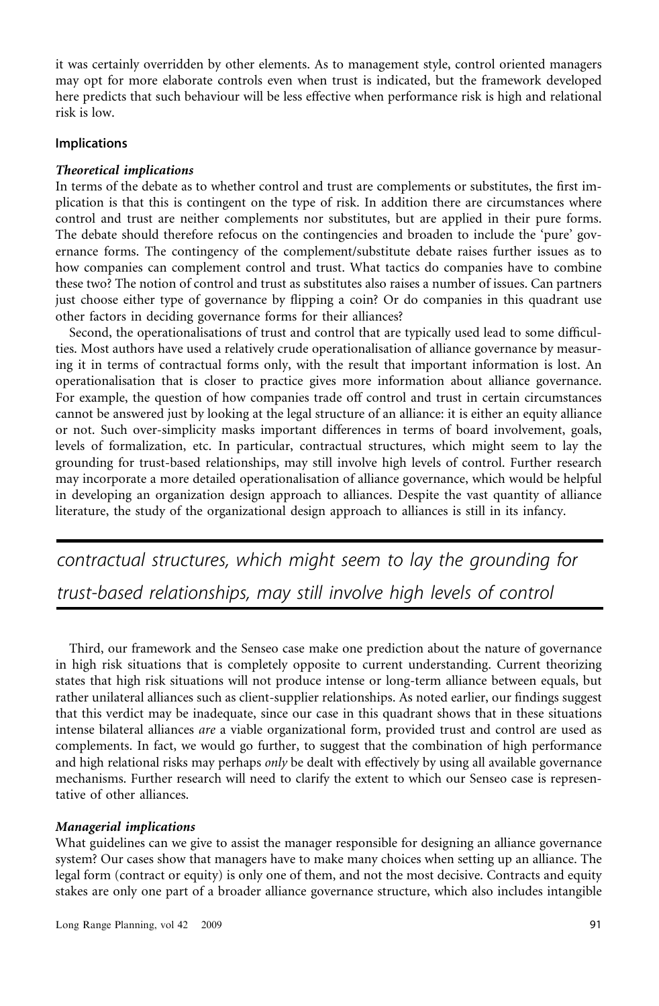it was certainly overridden by other elements. As to management style, control oriented managers may opt for more elaborate controls even when trust is indicated, but the framework developed here predicts that such behaviour will be less effective when performance risk is high and relational risk is low.

#### Implications

#### Theoretical implications

In terms of the debate as to whether control and trust are complements or substitutes, the first implication is that this is contingent on the type of risk. In addition there are circumstances where control and trust are neither complements nor substitutes, but are applied in their pure forms. The debate should therefore refocus on the contingencies and broaden to include the 'pure' governance forms. The contingency of the complement/substitute debate raises further issues as to how companies can complement control and trust. What tactics do companies have to combine these two? The notion of control and trust as substitutes also raises a number of issues. Can partners just choose either type of governance by flipping a coin? Or do companies in this quadrant use other factors in deciding governance forms for their alliances?

Second, the operationalisations of trust and control that are typically used lead to some difficulties. Most authors have used a relatively crude operationalisation of alliance governance by measuring it in terms of contractual forms only, with the result that important information is lost. An operationalisation that is closer to practice gives more information about alliance governance. For example, the question of how companies trade off control and trust in certain circumstances cannot be answered just by looking at the legal structure of an alliance: it is either an equity alliance or not. Such over-simplicity masks important differences in terms of board involvement, goals, levels of formalization, etc. In particular, contractual structures, which might seem to lay the grounding for trust-based relationships, may still involve high levels of control. Further research may incorporate a more detailed operationalisation of alliance governance, which would be helpful in developing an organization design approach to alliances. Despite the vast quantity of alliance literature, the study of the organizational design approach to alliances is still in its infancy.

# contractual structures, which might seem to lay the grounding for trust-based relationships, may still involve high levels of control

Third, our framework and the Senseo case make one prediction about the nature of governance in high risk situations that is completely opposite to current understanding. Current theorizing states that high risk situations will not produce intense or long-term alliance between equals, but rather unilateral alliances such as client-supplier relationships. As noted earlier, our findings suggest that this verdict may be inadequate, since our case in this quadrant shows that in these situations intense bilateral alliances are a viable organizational form, provided trust and control are used as complements. In fact, we would go further, to suggest that the combination of high performance and high relational risks may perhaps *only* be dealt with effectively by using all available governance mechanisms. Further research will need to clarify the extent to which our Senseo case is representative of other alliances.

#### Managerial implications

What guidelines can we give to assist the manager responsible for designing an alliance governance system? Our cases show that managers have to make many choices when setting up an alliance. The legal form (contract or equity) is only one of them, and not the most decisive. Contracts and equity stakes are only one part of a broader alliance governance structure, which also includes intangible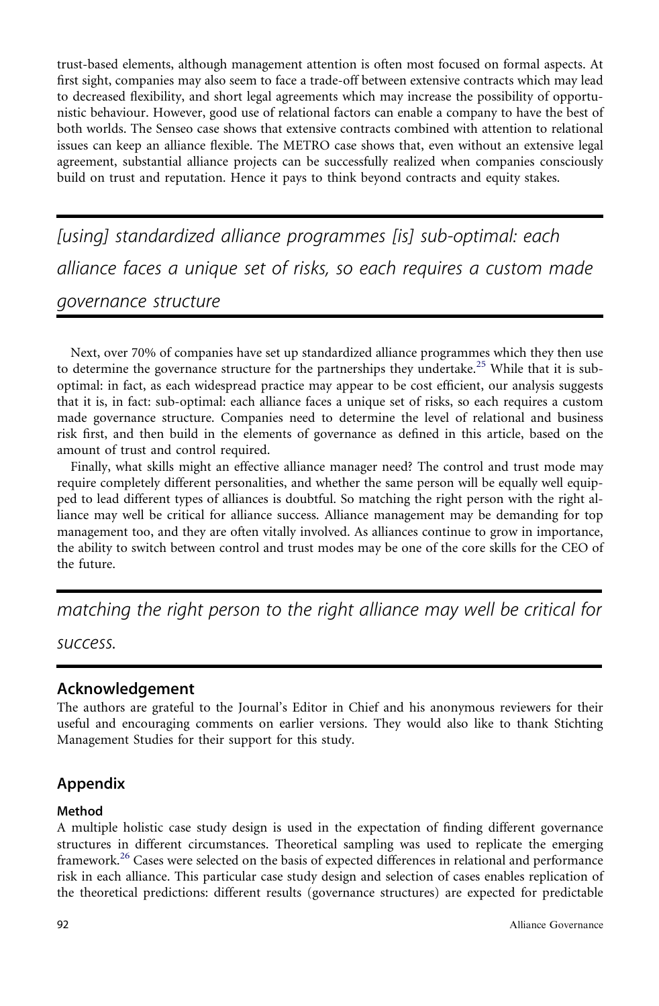trust-based elements, although management attention is often most focused on formal aspects. At first sight, companies may also seem to face a trade-off between extensive contracts which may lead to decreased flexibility, and short legal agreements which may increase the possibility of opportunistic behaviour. However, good use of relational factors can enable a company to have the best of both worlds. The Senseo case shows that extensive contracts combined with attention to relational issues can keep an alliance flexible. The METRO case shows that, even without an extensive legal agreement, substantial alliance projects can be successfully realized when companies consciously build on trust and reputation. Hence it pays to think beyond contracts and equity stakes.

[using] standardized alliance programmes [is] sub-optimal: each alliance faces a unique set of risks, so each requires a custom made governance structure

Next, over 70% of companies have set up standardized alliance programmes which they then use to determine the governance structure for the partnerships they undertake.<sup>[25](#page-20-0)</sup> While that it is suboptimal: in fact, as each widespread practice may appear to be cost efficient, our analysis suggests that it is, in fact: sub-optimal: each alliance faces a unique set of risks, so each requires a custom made governance structure. Companies need to determine the level of relational and business risk first, and then build in the elements of governance as defined in this article, based on the amount of trust and control required.

Finally, what skills might an effective alliance manager need? The control and trust mode may require completely different personalities, and whether the same person will be equally well equipped to lead different types of alliances is doubtful. So matching the right person with the right alliance may well be critical for alliance success. Alliance management may be demanding for top management too, and they are often vitally involved. As alliances continue to grow in importance, the ability to switch between control and trust modes may be one of the core skills for the CEO of the future.

matching the right person to the right alliance may well be critical for

success.

# Acknowledgement

The authors are grateful to the Journal's Editor in Chief and his anonymous reviewers for their useful and encouraging comments on earlier versions. They would also like to thank Stichting Management Studies for their support for this study.

# Appendix

#### Method

A multiple holistic case study design is used in the expectation of finding different governance structures in different circumstances. Theoretical sampling was used to replicate the emerging framework.<sup>[26](#page-20-0)</sup> Cases were selected on the basis of expected differences in relational and performance risk in each alliance. This particular case study design and selection of cases enables replication of the theoretical predictions: different results (governance structures) are expected for predictable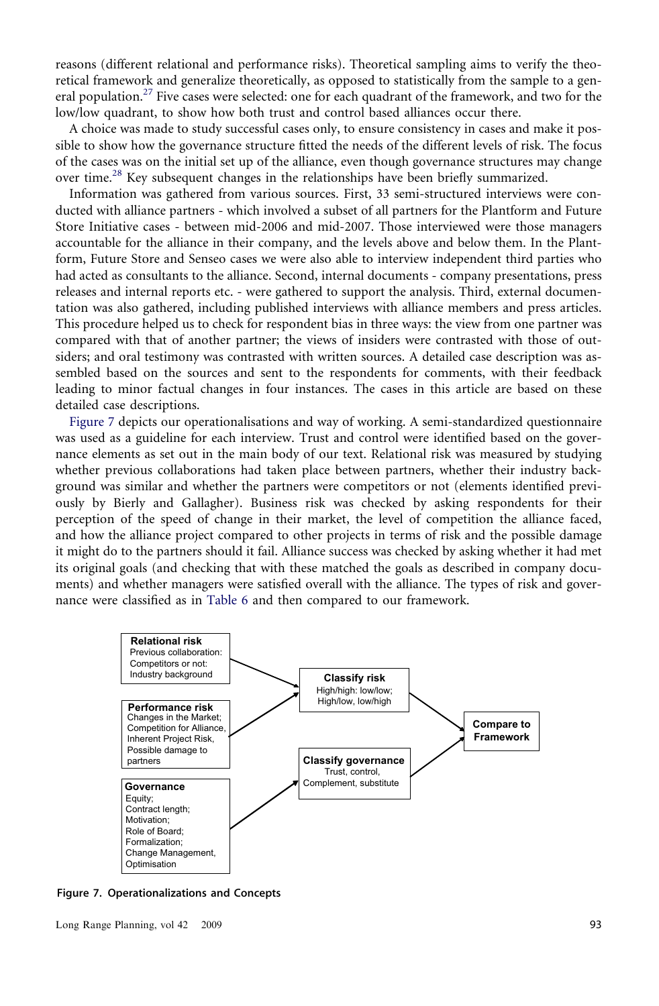reasons (different relational and performance risks). Theoretical sampling aims to verify the theoretical framework and generalize theoretically, as opposed to statistically from the sample to a gen-eral population.<sup>[27](#page-20-0)</sup> Five cases were selected: one for each quadrant of the framework, and two for the low/low quadrant, to show how both trust and control based alliances occur there.

A choice was made to study successful cases only, to ensure consistency in cases and make it possible to show how the governance structure fitted the needs of the different levels of risk. The focus of the cases was on the initial set up of the alliance, even though governance structures may change over time.<sup>[28](#page-20-0)</sup> Key subsequent changes in the relationships have been briefly summarized.

Information was gathered from various sources. First, 33 semi-structured interviews were conducted with alliance partners - which involved a subset of all partners for the Plantform and Future Store Initiative cases - between mid-2006 and mid-2007. Those interviewed were those managers accountable for the alliance in their company, and the levels above and below them. In the Plantform, Future Store and Senseo cases we were also able to interview independent third parties who had acted as consultants to the alliance. Second, internal documents - company presentations, press releases and internal reports etc. - were gathered to support the analysis. Third, external documentation was also gathered, including published interviews with alliance members and press articles. This procedure helped us to check for respondent bias in three ways: the view from one partner was compared with that of another partner; the views of insiders were contrasted with those of outsiders; and oral testimony was contrasted with written sources. A detailed case description was assembled based on the sources and sent to the respondents for comments, with their feedback leading to minor factual changes in four instances. The cases in this article are based on these detailed case descriptions.

Figure 7 depicts our operationalisations and way of working. A semi-standardized questionnaire was used as a guideline for each interview. Trust and control were identified based on the governance elements as set out in the main body of our text. Relational risk was measured by studying whether previous collaborations had taken place between partners, whether their industry background was similar and whether the partners were competitors or not (elements identified previously by Bierly and Gallagher). Business risk was checked by asking respondents for their perception of the speed of change in their market, the level of competition the alliance faced, and how the alliance project compared to other projects in terms of risk and the possible damage it might do to the partners should it fail. Alliance success was checked by asking whether it had met its original goals (and checking that with these matched the goals as described in company documents) and whether managers were satisfied overall with the alliance. The types of risk and governance were classified as in [Table 6](#page-15-0) and then compared to our framework.



Figure 7. Operationalizations and Concepts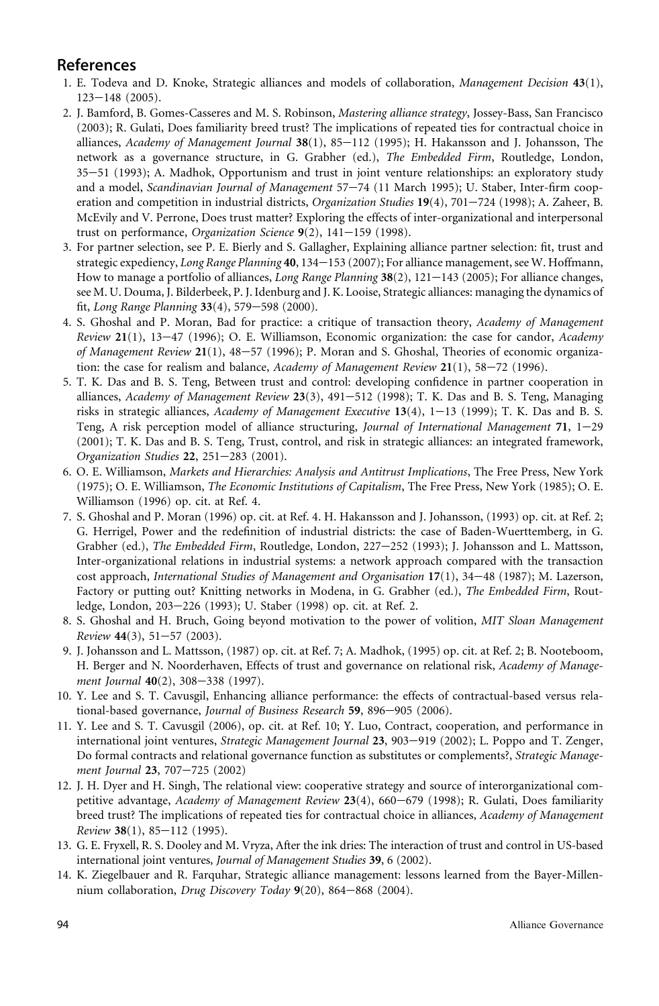# <span id="page-19-0"></span>References

- 1. E. Todeva and D. Knoke, Strategic alliances and models of collaboration, Management Decision 43(1),  $123 - 148$  (2005).
- 2. J. Bamford, B. Gomes-Casseres and M. S. Robinson, Mastering alliance strategy, Jossey-Bass, San Francisco (2003); R. Gulati, Does familiarity breed trust? The implications of repeated ties for contractual choice in alliances, Academy of Management Journal  $38(1)$ ,  $85-112$  (1995); H. Hakansson and J. Johansson, The network as a governance structure, in G. Grabher (ed.), The Embedded Firm, Routledge, London, 35-51 (1993); A. Madhok, Opportunism and trust in joint venture relationships: an exploratory study and a model, Scandinavian Journal of Management 57-74 (11 March 1995); U. Staber, Inter-firm cooperation and competition in industrial districts, Organization Studies 19(4), 701-724 (1998); A. Zaheer, B. McEvily and V. Perrone, Does trust matter? Exploring the effects of inter-organizational and interpersonal trust on performance, Organization Science  $9(2)$ , 141-159 (1998).
- 3. For partner selection, see P. E. Bierly and S. Gallagher, Explaining alliance partner selection: fit, trust and strategic expediency, Long Range Planning 40, 134-153 (2007); For alliance management, see W. Hoffmann, How to manage a portfolio of alliances, Long Range Planning  $38(2)$ , 121–143 (2005); For alliance changes, see M. U. Douma, J. Bilderbeek, P. J. Idenburg and J. K. Looise, Strategic alliances: managing the dynamics of fit, Long Range Planning  $33(4)$ , 579-598 (2000).
- 4. S. Ghoshal and P. Moran, Bad for practice: a critique of transaction theory, Academy of Management Review 21(1), 13-47 (1996); O. E. Williamson, Economic organization: the case for candor, Academy of Management Review 21(1), 48-57 (1996); P. Moran and S. Ghoshal, Theories of economic organization: the case for realism and balance, Academy of Management Review  $21(1)$ , 58-72 (1996).
- 5. T. K. Das and B. S. Teng, Between trust and control: developing confidence in partner cooperation in alliances, Academy of Management Review  $23(3)$ , 491-512 (1998); T. K. Das and B. S. Teng, Managing risks in strategic alliances, Academy of Management Executive  $13(4)$ ,  $1-13$  (1999); T. K. Das and B. S. Teng, A risk perception model of alliance structuring, Journal of International Management 71,  $1-29$ (2001); T. K. Das and B. S. Teng, Trust, control, and risk in strategic alliances: an integrated framework, Organization Studies  $22$ ,  $251-283$  (2001).
- 6. O. E. Williamson, Markets and Hierarchies: Analysis and Antitrust Implications, The Free Press, New York (1975); O. E. Williamson, The Economic Institutions of Capitalism, The Free Press, New York (1985); O. E. Williamson (1996) op. cit. at Ref. 4.
- 7. S. Ghoshal and P. Moran (1996) op. cit. at Ref. 4. H. Hakansson and J. Johansson, (1993) op. cit. at Ref. 2; G. Herrigel, Power and the redefinition of industrial districts: the case of Baden-Wuerttemberg, in G. Grabher (ed.), The Embedded Firm, Routledge, London, 227-252 (1993); J. Johansson and L. Mattsson, Inter-organizational relations in industrial systems: a network approach compared with the transaction cost approach, International Studies of Management and Organisation  $17(1)$ ,  $34-48$  (1987); M. Lazerson, Factory or putting out? Knitting networks in Modena, in G. Grabher (ed.), The Embedded Firm, Routledge, London, 203-226 (1993); U. Staber (1998) op. cit. at Ref. 2.
- 8. S. Ghoshal and H. Bruch, Going beyond motivation to the power of volition, MIT Sloan Management Review 44(3),  $51-57$  (2003).
- 9. J. Johansson and L. Mattsson, (1987) op. cit. at Ref. 7; A. Madhok, (1995) op. cit. at Ref. 2; B. Nooteboom, H. Berger and N. Noorderhaven, Effects of trust and governance on relational risk, Academy of Management Journal  $40(2)$ , 308-338 (1997).
- 10. Y. Lee and S. T. Cavusgil, Enhancing alliance performance: the effects of contractual-based versus relational-based governance, Journal of Business Research 59, 896-905 (2006).
- 11. Y. Lee and S. T. Cavusgil (2006), op. cit. at Ref. 10; Y. Luo, Contract, cooperation, and performance in international joint ventures, Strategic Management Journal 23, 903-919 (2002); L. Poppo and T. Zenger, Do formal contracts and relational governance function as substitutes or complements?, Strategic Management Journal 23, 707-725 (2002)
- 12. J. H. Dyer and H. Singh, The relational view: cooperative strategy and source of interorganizational competitive advantage, Academy of Management Review  $23(4)$ , 660–679 (1998); R. Gulati, Does familiarity breed trust? The implications of repeated ties for contractual choice in alliances, Academy of Management Review 38 $(1)$ , 85-112 (1995).
- 13. G. E. Fryxell, R. S. Dooley and M. Vryza, After the ink dries: The interaction of trust and control in US-based international joint ventures, Journal of Management Studies 39, 6 (2002).
- 14. K. Ziegelbauer and R. Farquhar, Strategic alliance management: lessons learned from the Bayer-Millennium collaboration, Drug Discovery Today 9(20), 864-868 (2004).